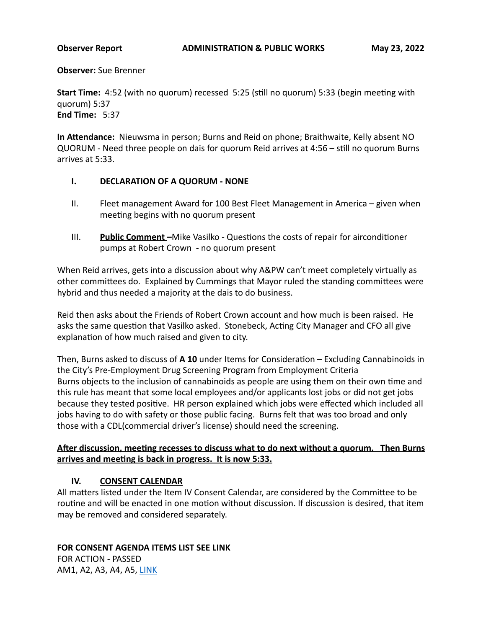**Observer:** Sue Brenner

**Start Time:** 4:52 (with no quorum) recessed 5:25 (still no quorum) 5:33 (begin meeting with quorum) 5:37 **End Time: 5:37** 

**In Attendance:** Nieuwsma in person; Burns and Reid on phone; Braithwaite, Kelly absent NO QUORUM - Need three people on dais for quorum Reid arrives at 4:56 - still no quorum Burns arrives at 5:33. 

### **I. DECLARATION OF A QUORUM - NONE**

- II. Fleet management Award for 100 Best Fleet Management in America given when meeting begins with no quorum present
- III. **Public Comment** Mike Vasilko Questions the costs of repair for airconditioner pumps at Robert Crown - no quorum present

When Reid arrives, gets into a discussion about why A&PW can't meet completely virtually as other committees do. Explained by Cummings that Mayor ruled the standing committees were hybrid and thus needed a majority at the dais to do business.

Reid then asks about the Friends of Robert Crown account and how much is been raised. He asks the same question that Vasilko asked. Stonebeck, Acting City Manager and CFO all give explanation of how much raised and given to city.

Then, Burns asked to discuss of A 10 under Items for Consideration – Excluding Cannabinoids in the City's Pre-Employment Drug Screening Program from Employment Criteria Burns objects to the inclusion of cannabinoids as people are using them on their own time and this rule has meant that some local employees and/or applicants lost jobs or did not get jobs because they tested positive. HR person explained which jobs were effected which included all jobs having to do with safety or those public facing. Burns felt that was too broad and only those with a CDL(commercial driver's license) should need the screening.

# After discussion, meeting recesses to discuss what to do next without a quorum. Then Burns arrives and meeting is back in progress. It is now 5:33.

# **IV. CONSENT CALENDAR**

All matters listed under the Item IV Consent Calendar, are considered by the Committee to be routine and will be enacted in one motion without discussion. If discussion is desired, that item may be removed and considered separately.

# **FOR CONSENT AGENDA ITEMS LIST SEE LINK**

FOR ACTION - PASSED AM1, A2, A3, A4, A5, [LINK](https://www.cityofevanston.org/home/showpublisheddocument/71749/637886402364857911)